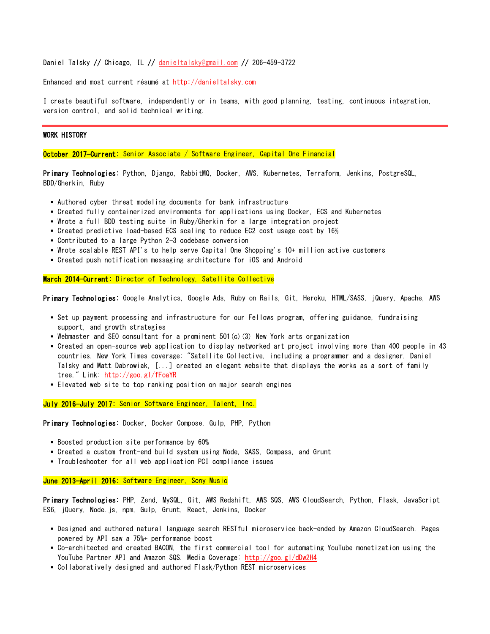Daniel Talsky // Chicago, IL // [danieltalsky@gmail.com](mailto:danieltalsky@gmail.com) // 206-459-3722

Enhanced and most current résumé at [http://danieltalsky.com](http://danieltalsky.com/)

I create beautiful software, independently or in teams, with good planning, testing, continuous integration, version control, and solid technical writing.

# WORK HISTORY

October 2017—Current: Senior Associate / Software Engineer, Capital One Financial

Primary Technologies: Python, Django, RabbitMQ, Docker, AWS, Kubernetes, Terraform, Jenkins, PostgreSQL, BDD/Gherkin, Ruby

- Authored cyber threat modeling documents for bank infrastructure
- Created fully containerized environments for applications using Docker, ECS and Kubernetes
- Wrote a full BDD testing suite in Ruby/Gherkin for a large integration project
- Created predictive load-based ECS scaling to reduce EC2 cost usage cost by 16%
- Contributed to a large Python 2-3 codebase conversion
- Wrote scalable REST API's to help serve Capital One Shopping's 10+ million active customers
- Created push notification messaging architecture for iOS and Android

### March 2014—Current: Director of Technology, Satellite Collective

Primary Technologies: Google Analytics, Google Ads, Ruby on Rails, Git, Heroku, HTML/SASS, jQuery, Apache, AWS

- Set up payment processing and infrastructure for our Fellows program, offering guidance, fundraising support, and growth strategies
- Webmaster and SEO consultant for a prominent 501(c)(3) New York arts organization
- Created an open-source web application to display networked art project involving more than 400 people in 43 countries. New York Times coverage: "Satellite Collective, including a programmer and a designer, Daniel Talsky and Matt Dabrowiak, [...] created an elegant website that displays the works as a sort of family tree." Link:<http://goo.gl/fFoaYR>
- Elevated web site to top ranking position on major search engines

July 2016—July 2017: Senior Software Engineer, Talent, Inc.

Primary Technologies: Docker, Docker Compose, Gulp, PHP, Python

- **Boosted production site performance by 60%**
- Created a custom front-end build system using Node, SASS, Compass, and Grunt
- Troubleshooter for all web application PCI compliance issues

## June 2013-April 2016: Software Engineer, Sony Music

Primary Technologies: PHP, Zend, MySQL, Git, AWS Redshift, AWS SQS, AWS CloudSearch, Python, Flask, JavaScript ES6, jQuery, Node.js, npm, Gulp, Grunt, React, Jenkins, Docker

- Designed and authored natural language search RESTful microservice back-ended by Amazon CloudSearch. Pages powered by API saw a 75%+ performance boost
- Co-architected and created BACON, the first commercial tool for automating YouTube monetization using the YouTube Partner API and Amazon SQS. Media Coverage: <http://goo.gl/dDw2H4>
- Collaboratively designed and authored Flask/Python REST microservices